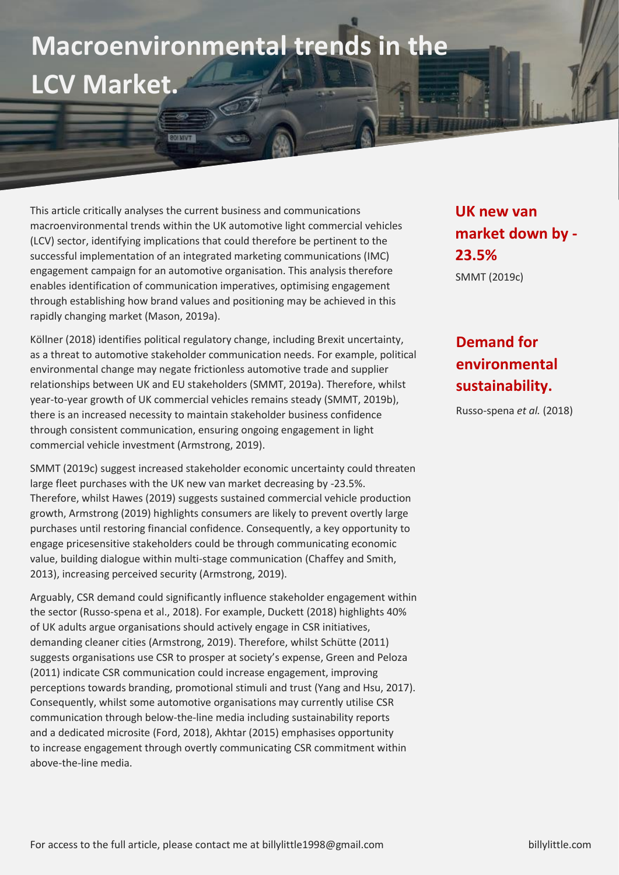## **Macroenvironmental trends in the LCV Market.**

## This article critically analyses the current business and communications macroenvironmental trends within the UK automotive light commercial vehicles (LCV) sector, identifying implications that could therefore be pertinent to the successful implementation of an integrated marketing communications (IMC) engagement campaign for an automotive organisation. This analysis therefore enables identification of communication imperatives, optimising engagement through establishing how brand values and positioning may be achieved in this rapidly changing market (Mason, 2019a).

Köllner (2018) identifies political regulatory change, including Brexit uncertainty, as a threat to automotive stakeholder communication needs. For example, political environmental change may negate frictionless automotive trade and supplier relationships between UK and EU stakeholders (SMMT, 2019a). Therefore, whilst year-to-year growth of UK commercial vehicles remains steady (SMMT, 2019b), there is an increased necessity to maintain stakeholder business confidence through consistent communication, ensuring ongoing engagement in light commercial vehicle investment (Armstrong, 2019).

SMMT (2019c) suggest increased stakeholder economic uncertainty could threaten large fleet purchases with the UK new van market decreasing by -23.5%. Therefore, whilst Hawes (2019) suggests sustained commercial vehicle production growth, Armstrong (2019) highlights consumers are likely to prevent overtly large purchases until restoring financial confidence. Consequently, a key opportunity to engage pricesensitive stakeholders could be through communicating economic value, building dialogue within multi-stage communication (Chaffey and Smith, 2013), increasing perceived security (Armstrong, 2019).

Arguably, CSR demand could significantly influence stakeholder engagement within the sector (Russo-spena et al., 2018). For example, Duckett (2018) highlights 40% of UK adults argue organisations should actively engage in CSR initiatives, demanding cleaner cities (Armstrong, 2019). Therefore, whilst Schütte (2011) suggests organisations use CSR to prosper at society's expense, Green and Peloza (2011) indicate CSR communication could increase engagement, improving perceptions towards branding, promotional stimuli and trust (Yang and Hsu, 2017). Consequently, whilst some automotive organisations may currently utilise CSR communication through below-the-line media including sustainability reports and a dedicated microsite (Ford, 2018), Akhtar (2015) emphasises opportunity to increase engagement through overtly communicating CSR commitment within above-the-line media.

**UK new van market down by - 23.5%** SMMT (2019c)

## **Demand for environmental sustainability.**

Russo-spena *et al.* (2018)